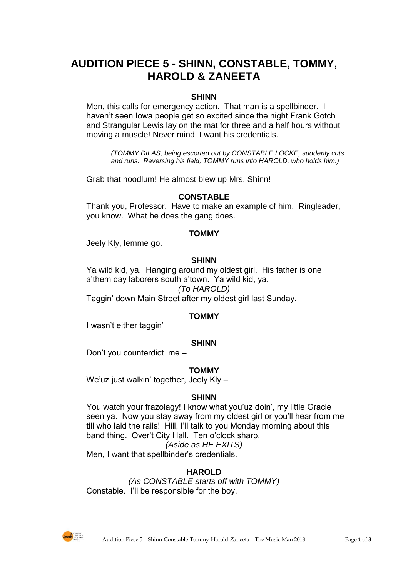# **AUDITION PIECE 5 - SHINN, CONSTABLE, TOMMY, HAROLD & ZANEETA**

## **SHINN**

Men, this calls for emergency action. That man is a spellbinder. I haven't seen Iowa people get so excited since the night Frank Gotch and Strangular Lewis lay on the mat for three and a half hours without moving a muscle! Never mind! I want his credentials.

*(TOMMY DILAS, being escorted out by CONSTABLE LOCKE, suddenly cuts and runs. Reversing his field, TOMMY runs into HAROLD, who holds him.)*

Grab that hoodlum! He almost blew up Mrs. Shinn!

#### **CONSTABLE**

Thank you, Professor. Have to make an example of him. Ringleader, you know. What he does the gang does.

#### **TOMMY**

Jeely Kly, lemme go.

#### **SHINN**

Ya wild kid, ya. Hanging around my oldest girl. His father is one a'them day laborers south a'town. Ya wild kid, ya.

*(To HAROLD)*

Taggin' down Main Street after my oldest girl last Sunday.

#### **TOMMY**

I wasn't either taggin'

#### **SHINN**

Don't you counterdict me –

#### **TOMMY**

We'uz just walkin' together, Jeely Kly -

#### **SHINN**

You watch your frazolagy! I know what you'uz doin', my little Gracie seen ya. Now you stay away from my oldest girl or you'll hear from me till who laid the rails! Hill, I'll talk to you Monday morning about this band thing. Over't City Hall. Ten o'clock sharp.

*(Aside as HE EXITS)*

Men, I want that spellbinder's credentials.

#### **HAROLD**

*(As CONSTABLE starts off with TOMMY)* Constable. I'll be responsible for the boy.

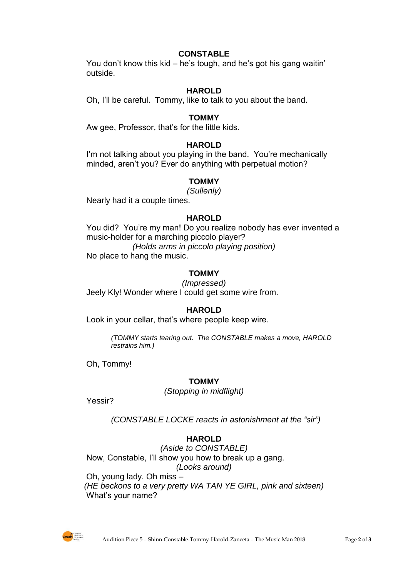## **CONSTABLE**

You don't know this kid – he's tough, and he's got his gang waitin' outside.

## **HAROLD**

Oh, I'll be careful. Tommy, like to talk to you about the band.

#### **TOMMY**

Aw gee, Professor, that's for the little kids.

#### **HAROLD**

I'm not talking about you playing in the band. You're mechanically minded, aren't you? Ever do anything with perpetual motion?

#### **TOMMY**

*(Sullenly)*

Nearly had it a couple times.

#### **HAROLD**

You did? You're my man! Do you realize nobody has ever invented a music-holder for a marching piccolo player? *(Holds arms in piccolo playing position)* No place to hang the music.

## **TOMMY**

*(Impressed)* Jeely Kly! Wonder where I could get some wire from.

#### **HAROLD**

Look in your cellar, that's where people keep wire.

*(TOMMY starts tearing out. The CONSTABLE makes a move, HAROLD restrains him.)*

Oh, Tommy!

#### **TOMMY**

*(Stopping in midflight)*

Yessir?

*(CONSTABLE LOCKE reacts in astonishment at the "sir")*

## **HAROLD**

*(Aside to CONSTABLE)* Now, Constable, I'll show you how to break up a gang. *(Looks around)* Oh, young lady. Oh miss – *(HE beckons to a very pretty WA TAN YE GIRL, pink and sixteen)* What's your name?